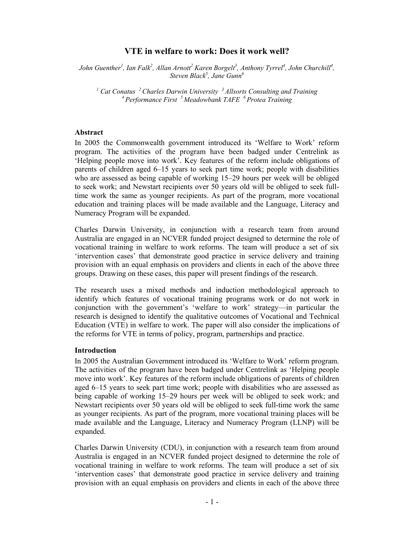# **VTE in welfare to work: Does it work well?**

*John Guenther<sup>1</sup>, Ian Falk<sup>2</sup>, Allan Arnott<sup>2</sup> Karen Borgelt<sup>3</sup>, Anthony Tyrrel<sup>4</sup>, John Churchill<sup>4</sup>,*  $Steven Black<sup>5</sup>$ , Jane Gunn<sup>6</sup>

<sup>1</sup> Cat Conatus <sup>2</sup> Charles Darwin University <sup>3</sup> Allsorts Consulting and Training <sup>4</sup> Performance First <sup>5</sup> Meadowbank TAFE <sup>6</sup> Protea Training

#### **Abstract**

In 2005 the Commonwealth government introduced its 'Welfare to Work' reform program. The activities of the program have been badged under Centrelink as 'Helping people move into work'. Key features of the reform include obligations of parents of children aged 6–15 years to seek part time work; people with disabilities who are assessed as being capable of working 15–29 hours per week will be obliged to seek work; and Newstart recipients over 50 years old will be obliged to seek fulltime work the same as younger recipients. As part of the program, more vocational education and training places will be made available and the Language, Literacy and Numeracy Program will be expanded.

Charles Darwin University, in conjunction with a research team from around Australia are engaged in an NCVER funded project designed to determine the role of vocational training in welfare to work reforms. The team will produce a set of six 'intervention cases' that demonstrate good practice in service delivery and training provision with an equal emphasis on providers and clients in each of the above three groups. Drawing on these cases, this paper will present findings of the research.

The research uses a mixed methods and induction methodological approach to identify which features of vocational training programs work or do not work in conjunction with the government's 'welfare to work' strategy—in particular the research is designed to identify the qualitative outcomes of Vocational and Technical Education (VTE) in welfare to work. The paper will also consider the implications of the reforms for VTE in terms of policy, program, partnerships and practice.

#### **Introduction**

In 2005 the Australian Government introduced its 'Welfare to Work' reform program. The activities of the program have been badged under Centrelink as 'Helping people move into work'. Key features of the reform include obligations of parents of children aged 6–15 years to seek part time work; people with disabilities who are assessed as being capable of working 15–29 hours per week will be obliged to seek work; and Newstart recipients over 50 years old will be obliged to seek full-time work the same as younger recipients. As part of the program, more vocational training places will be made available and the Language, Literacy and Numeracy Program (LLNP) will be expanded.

Charles Darwin University (CDU), in conjunction with a research team from around Australia is engaged in an NCVER funded project designed to determine the role of vocational training in welfare to work reforms. The team will produce a set of six 'intervention cases' that demonstrate good practice in service delivery and training provision with an equal emphasis on providers and clients in each of the above three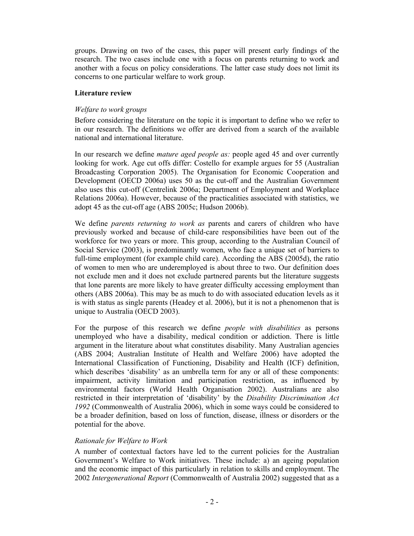groups. Drawing on two of the cases, this paper will present early findings of the research. The two cases include one with a focus on parents returning to work and another with a focus on policy considerations. The latter case study does not limit its concerns to one particular welfare to work group.

## **Literature review**

# *Welfare to work groups*

Before considering the literature on the topic it is important to define who we refer to in our research. The definitions we offer are derived from a search of the available national and international literature.

In our research we define *mature aged people as:* people aged 45 and over currently looking for work. Age cut offs differ: Costello for example argues for 55 (Australian Broadcasting Corporation 2005). The Organisation for Economic Cooperation and Development (OECD 2006a) uses 50 as the cut-off and the Australian Government also uses this cut-off (Centrelink 2006a; Department of Employment and Workplace Relations 2006a). However, because of the practicalities associated with statistics, we adopt 45 as the cut-off age (ABS 2005c; Hudson 2006b).

We define *parents returning to work as* parents and carers of children who have previously worked and because of child-care responsibilities have been out of the workforce for two years or more. This group, according to the Australian Council of Social Service (2003), is predominantly women, who face a unique set of barriers to full-time employment (for example child care). According the ABS (2005d), the ratio of women to men who are underemployed is about three to two. Our definition does not exclude men and it does not exclude partnered parents but the literature suggests that lone parents are more likely to have greater difficulty accessing employment than others (ABS 2006a). This may be as much to do with associated education levels as it is with status as single parents (Headey et al. 2006), but it is not a phenomenon that is unique to Australia (OECD 2003).

For the purpose of this research we define *people with disabilities* as persons unemployed who have a disability, medical condition or addiction. There is little argument in the literature about what constitutes disability. Many Australian agencies (ABS 2004; Australian Institute of Health and Welfare 2006) have adopted the International Classification of Functioning, Disability and Health (ICF) definition, which describes 'disability' as an umbrella term for any or all of these components: impairment, activity limitation and participation restriction, as influenced by environmental factors (World Health Organisation 2002). Australians are also restricted in their interpretation of 'disability' by the *Disability Discrimination Act 1992* (Commonwealth of Australia 2006), which in some ways could be considered to be a broader definition, based on loss of function, disease, illness or disorders or the potential for the above.

### *Rationale for Welfare to Work*

A number of contextual factors have led to the current policies for the Australian Government's Welfare to Work initiatives. These include: a) an ageing population and the economic impact of this particularly in relation to skills and employment. The 2002 *Intergenerational Report* (Commonwealth of Australia 2002) suggested that as a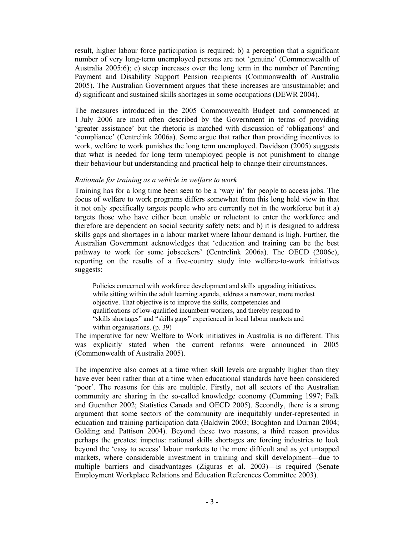result, higher labour force participation is required; b) a perception that a significant number of very long-term unemployed persons are not 'genuine' (Commonwealth of Australia 2005:6); c) steep increases over the long term in the number of Parenting Payment and Disability Support Pension recipients (Commonwealth of Australia 2005). The Australian Government argues that these increases are unsustainable; and d) significant and sustained skills shortages in some occupations (DEWR 2004).

The measures introduced in the 2005 Commonwealth Budget and commenced at 1 July 2006 are most often described by the Government in terms of providing 'greater assistance' but the rhetoric is matched with discussion of 'obligations' and 'compliance' (Centrelink 2006a). Some argue that rather than providing incentives to work, welfare to work punishes the long term unemployed. Davidson (2005) suggests that what is needed for long term unemployed people is not punishment to change their behaviour but understanding and practical help to change their circumstances.

### *Rationale for training as a vehicle in welfare to work*

Training has for a long time been seen to be a 'way in' for people to access jobs. The focus of welfare to work programs differs somewhat from this long held view in that it not only specifically targets people who are currently not in the workforce but it a) targets those who have either been unable or reluctant to enter the workforce and therefore are dependent on social security safety nets; and b) it is designed to address skills gaps and shortages in a labour market where labour demand is high. Further, the Australian Government acknowledges that 'education and training can be the best pathway to work for some jobseekers' (Centrelink 2006a). The OECD (2006c), reporting on the results of a five-country study into welfare-to-work initiatives suggests:

Policies concerned with workforce development and skills upgrading initiatives, while sitting within the adult learning agenda, address a narrower, more modest objective. That objective is to improve the skills, competencies and qualifications of low-qualified incumbent workers, and thereby respond to "skills shortages" and "skills gaps" experienced in local labour markets and within organisations. (p. 39)

The imperative for new Welfare to Work initiatives in Australia is no different. This was explicitly stated when the current reforms were announced in 2005 (Commonwealth of Australia 2005).

The imperative also comes at a time when skill levels are arguably higher than they have ever been rather than at a time when educational standards have been considered 'poor'. The reasons for this are multiple. Firstly, not all sectors of the Australian community are sharing in the so-called knowledge economy (Cumming 1997; Falk and Guenther 2002; Statistics Canada and OECD 2005). Secondly, there is a strong argument that some sectors of the community are inequitably under-represented in education and training participation data (Baldwin 2003; Boughton and Durnan 2004; Golding and Pattison 2004). Beyond these two reasons, a third reason provides perhaps the greatest impetus: national skills shortages are forcing industries to look beyond the 'easy to access' labour markets to the more difficult and as yet untapped markets, where considerable investment in training and skill development—due to multiple barriers and disadvantages (Ziguras et al. 2003)—is required (Senate Employment Workplace Relations and Education References Committee 2003).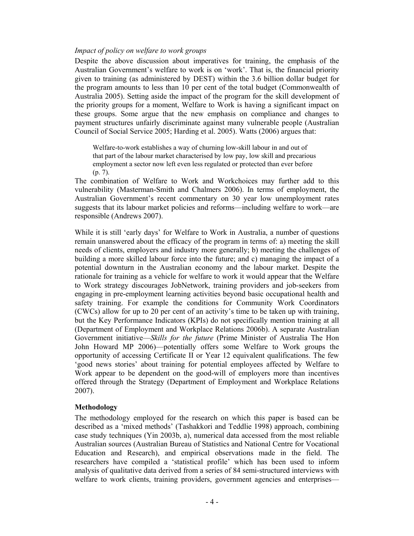### *Impact of policy on welfare to work groups*

Despite the above discussion about imperatives for training, the emphasis of the Australian Government's welfare to work is on 'work'. That is, the financial priority given to training (as administered by DEST) within the 3.6 billion dollar budget for the program amounts to less than 10 per cent of the total budget (Commonwealth of Australia 2005). Setting aside the impact of the program for the skill development of the priority groups for a moment, Welfare to Work is having a significant impact on these groups. Some argue that the new emphasis on compliance and changes to payment structures unfairly discriminate against many vulnerable people (Australian Council of Social Service 2005; Harding et al. 2005). Watts (2006) argues that:

Welfare-to-work establishes a way of churning low-skill labour in and out of that part of the labour market characterised by low pay, low skill and precarious employment a sector now left even less regulated or protected than ever before (p. 7).

The combination of Welfare to Work and Workchoices may further add to this vulnerability (Masterman-Smith and Chalmers 2006). In terms of employment, the Australian Government's recent commentary on 30 year low unemployment rates suggests that its labour market policies and reforms—including welfare to work—are responsible (Andrews 2007).

While it is still 'early days' for Welfare to Work in Australia, a number of questions remain unanswered about the efficacy of the program in terms of: a) meeting the skill needs of clients, employers and industry more generally; b) meeting the challenges of building a more skilled labour force into the future; and c) managing the impact of a potential downturn in the Australian economy and the labour market. Despite the rationale for training as a vehicle for welfare to work it would appear that the Welfare to Work strategy discourages JobNetwork, training providers and job-seekers from engaging in pre-employment learning activities beyond basic occupational health and safety training. For example the conditions for Community Work Coordinators (CWCs) allow for up to 20 per cent of an activity's time to be taken up with training, but the Key Performance Indicators (KPIs) do not specifically mention training at all (Department of Employment and Workplace Relations 2006b). A separate Australian Government initiative—*Skills for the future* (Prime Minister of Australia The Hon John Howard MP 2006)—potentially offers some Welfare to Work groups the opportunity of accessing Certificate II or Year 12 equivalent qualifications. The few 'good news stories' about training for potential employees affected by Welfare to Work appear to be dependent on the good-will of employers more than incentives offered through the Strategy (Department of Employment and Workplace Relations 2007).

### **Methodology**

The methodology employed for the research on which this paper is based can be described as a 'mixed methods' (Tashakkori and Teddlie 1998) approach, combining case study techniques (Yin 2003b, a), numerical data accessed from the most reliable Australian sources (Australian Bureau of Statistics and National Centre for Vocational Education and Research), and empirical observations made in the field. The researchers have compiled a 'statistical profile' which has been used to inform analysis of qualitative data derived from a series of 84 semi-structured interviews with welfare to work clients, training providers, government agencies and enterprises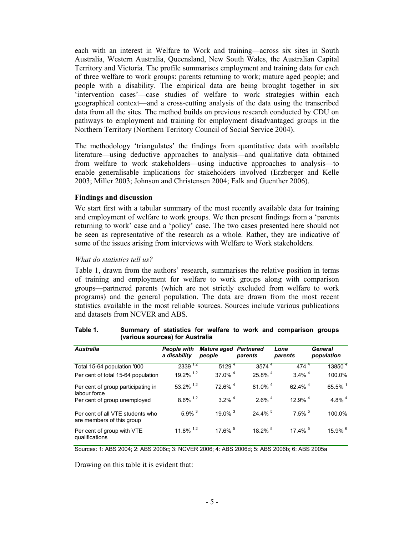each with an interest in Welfare to Work and training—across six sites in South Australia, Western Australia, Queensland, New South Wales, the Australian Capital Territory and Victoria. The profile summarises employment and training data for each of three welfare to work groups: parents returning to work; mature aged people; and people with a disability. The empirical data are being brought together in six 'intervention cases'—case studies of welfare to work strategies within each geographical context—and a cross-cutting analysis of the data using the transcribed data from all the sites. The method builds on previous research conducted by CDU on pathways to employment and training for employment disadvantaged groups in the Northern Territory (Northern Territory Council of Social Service 2004).

The methodology 'triangulates' the findings from quantitative data with available literature—using deductive approaches to analysis—and qualitative data obtained from welfare to work stakeholders—using inductive approaches to analysis—to enable generalisable implications for stakeholders involved (Erzberger and Kelle 2003; Miller 2003; Johnson and Christensen 2004; Falk and Guenther 2006).

### **Findings and discussion**

We start first with a tabular summary of the most recently available data for training and employment of welfare to work groups. We then present findings from a 'parents returning to work' case and a 'policy' case. The two cases presented here should not be seen as representative of the research as a whole. Rather, they are indicative of some of the issues arising from interviews with Welfare to Work stakeholders.

### *What do statistics tell us?*

Table 1, drawn from the authors' research, summarises the relative position in terms of training and employment for welfare to work groups along with comparison groups—partnered parents (which are not strictly excluded from welfare to work programs) and the general population. The data are drawn from the most recent statistics available in the most reliable sources. Sources include various publications and datasets from NCVER and ABS.

| <b>Australia</b>                                              | <b>People with</b><br>a disability | <b>Mature aged Partnered</b><br>people | parents               | Lone<br>parents       | General<br>population |
|---------------------------------------------------------------|------------------------------------|----------------------------------------|-----------------------|-----------------------|-----------------------|
| Total 15-64 population '000                                   | $2339^{1,2}$                       | $5129^{4}$                             | $3574^{4}$            | $474^{4}$             | 13850 <sup>4</sup>    |
| Per cent of total 15-64 population                            | $19.2\%$ <sup>1,2</sup>            | 37.0% 4                                | 25.8% 4               | $3.4\%$ <sup>4</sup>  | 100.0%                |
| Per cent of group participating in<br>labour force            | $53.2\%$ <sup>1,2</sup>            | 72.6% <sup>4</sup>                     | $81.0\%$ <sup>4</sup> | 62.4% $^{4}$          | $65.5\%$ <sup>1</sup> |
| Per cent of group unemployed                                  | $8.6\%$ <sup>1,2</sup>             | $3.2\%$ <sup>4</sup>                   | $2.6\%$ <sup>4</sup>  | $12.9\%$ <sup>4</sup> | 4.8% $4$              |
| Per cent of all VTE students who<br>are members of this group | $5.9\%$ <sup>3</sup>               | $19.0\%$ <sup>3</sup>                  | 24.4% 5               | $7.5\%$ <sup>5</sup>  | 100.0%                |
| Per cent of group with VTE<br>qualifications                  | 11.8% $1.2$                        | 17.6% $5$                              | $18.2\%$ <sup>5</sup> | 17.4% 5               | $15.9\%$ <sup>6</sup> |

#### **Table 1. Summary of statistics for welfare to work and comparison groups (various sources) for Australia**

Sources: 1: ABS 2004; 2: ABS 2006c; 3: NCVER 2006; 4: ABS 2006d; 5: ABS 2006b; 6: ABS 2005a

Drawing on this table it is evident that: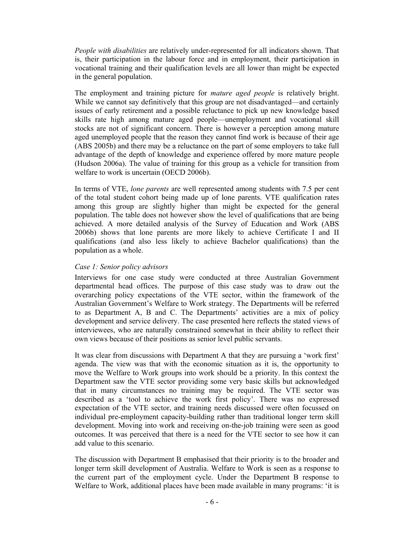*People with disabilities* are relatively under-represented for all indicators shown. That is, their participation in the labour force and in employment, their participation in vocational training and their qualification levels are all lower than might be expected in the general population.

The employment and training picture for *mature aged people* is relatively bright. While we cannot say definitively that this group are not disadvantaged—and certainly issues of early retirement and a possible reluctance to pick up new knowledge based skills rate high among mature aged people—unemployment and vocational skill stocks are not of significant concern. There is however a perception among mature aged unemployed people that the reason they cannot find work is because of their age (ABS 2005b) and there may be a reluctance on the part of some employers to take full advantage of the depth of knowledge and experience offered by more mature people (Hudson 2006a). The value of training for this group as a vehicle for transition from welfare to work is uncertain (OECD 2006b).

In terms of VTE, *lone parents* are well represented among students with 7.5 per cent of the total student cohort being made up of lone parents. VTE qualification rates among this group are slightly higher than might be expected for the general population. The table does not however show the level of qualifications that are being achieved. A more detailed analysis of the Survey of Education and Work (ABS 2006b) shows that lone parents are more likely to achieve Certificate I and II qualifications (and also less likely to achieve Bachelor qualifications) than the population as a whole.

## *Case 1: Senior policy advisors*

Interviews for one case study were conducted at three Australian Government departmental head offices. The purpose of this case study was to draw out the overarching policy expectations of the VTE sector, within the framework of the Australian Government's Welfare to Work strategy. The Departments will be referred to as Department A, B and C. The Departments' activities are a mix of policy development and service delivery. The case presented here reflects the stated views of interviewees, who are naturally constrained somewhat in their ability to reflect their own views because of their positions as senior level public servants.

It was clear from discussions with Department A that they are pursuing a 'work first' agenda. The view was that with the economic situation as it is, the opportunity to move the Welfare to Work groups into work should be a priority. In this context the Department saw the VTE sector providing some very basic skills but acknowledged that in many circumstances no training may be required. The VTE sector was described as a 'tool to achieve the work first policy'. There was no expressed expectation of the VTE sector, and training needs discussed were often focussed on individual pre-employment capacity-building rather than traditional longer term skill development. Moving into work and receiving on-the-job training were seen as good outcomes. It was perceived that there is a need for the VTE sector to see how it can add value to this scenario.

The discussion with Department B emphasised that their priority is to the broader and longer term skill development of Australia. Welfare to Work is seen as a response to the current part of the employment cycle. Under the Department B response to Welfare to Work, additional places have been made available in many programs: 'it is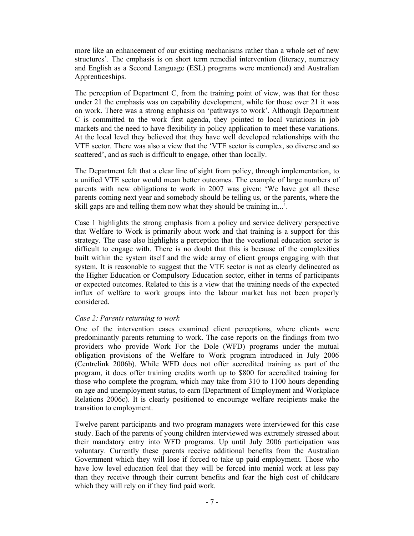more like an enhancement of our existing mechanisms rather than a whole set of new structures'. The emphasis is on short term remedial intervention (literacy, numeracy and English as a Second Language (ESL) programs were mentioned) and Australian Apprenticeships.

The perception of Department C, from the training point of view, was that for those under 21 the emphasis was on capability development, while for those over 21 it was on work. There was a strong emphasis on 'pathways to work'. Although Department C is committed to the work first agenda, they pointed to local variations in job markets and the need to have flexibility in policy application to meet these variations. At the local level they believed that they have well developed relationships with the VTE sector. There was also a view that the 'VTE sector is complex, so diverse and so scattered', and as such is difficult to engage, other than locally.

The Department felt that a clear line of sight from policy, through implementation, to a unified VTE sector would mean better outcomes. The example of large numbers of parents with new obligations to work in 2007 was given: 'We have got all these parents coming next year and somebody should be telling us, or the parents, where the skill gaps are and telling them now what they should be training in...'.

Case 1 highlights the strong emphasis from a policy and service delivery perspective that Welfare to Work is primarily about work and that training is a support for this strategy. The case also highlights a perception that the vocational education sector is difficult to engage with. There is no doubt that this is because of the complexities built within the system itself and the wide array of client groups engaging with that system. It is reasonable to suggest that the VTE sector is not as clearly delineated as the Higher Education or Compulsory Education sector, either in terms of participants or expected outcomes. Related to this is a view that the training needs of the expected influx of welfare to work groups into the labour market has not been properly considered.

# *Case 2: Parents returning to work*

One of the intervention cases examined client perceptions, where clients were predominantly parents returning to work. The case reports on the findings from two providers who provide Work For the Dole (WFD) programs under the mutual obligation provisions of the Welfare to Work program introduced in July 2006 (Centrelink 2006b). While WFD does not offer accredited training as part of the program, it does offer training credits worth up to \$800 for accredited training for those who complete the program, which may take from 310 to 1100 hours depending on age and unemployment status, to earn (Department of Employment and Workplace Relations 2006c). It is clearly positioned to encourage welfare recipients make the transition to employment.

Twelve parent participants and two program managers were interviewed for this case study. Each of the parents of young children interviewed was extremely stressed about their mandatory entry into WFD programs. Up until July 2006 participation was voluntary. Currently these parents receive additional benefits from the Australian Government which they will lose if forced to take up paid employment. Those who have low level education feel that they will be forced into menial work at less pay than they receive through their current benefits and fear the high cost of childcare which they will rely on if they find paid work.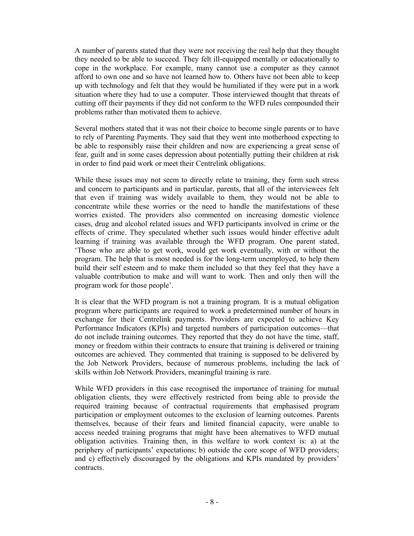A number of parents stated that they were not receiving the real help that they thought they needed to be able to succeed. They felt ill-equipped mentally or educationally to cope in the workplace. For example, many cannot use a computer as they cannot afford to own one and so have not learned how to. Others have not been able to keep up with technology and felt that they would be humiliated if they were put in a work situation where they had to use a computer. Those interviewed thought that threats of cutting off their payments if they did not conform to the WFD rules compounded their problems rather than motivated them to achieve.

Several mothers stated that it was not their choice to become single parents or to have to rely of Parenting Payments. They said that they went into motherhood expecting to be able to responsibly raise their children and now are experiencing a great sense of fear, guilt and in some cases depression about potentially putting their children at risk in order to find paid work or meet their Centrelink obligations.

While these issues may not seem to directly relate to training, they form such stress and concern to participants and in particular, parents, that all of the interviewees felt that even if training was widely available to them, they would not be able to concentrate while these worries or the need to handle the manifestations of these worries existed. The providers also commented on increasing domestic violence cases, drug and alcohol related issues and WFD participants involved in crime or the effects of crime. They speculated whether such issues would hinder effective adult learning if training was available through the WFD program. One parent stated, 'Those who are able to get work, would get work eventually, with or without the program. The help that is most needed is for the long-term unemployed, to help them build their self esteem and to make them included so that they feel that they have a valuable contribution to make and will want to work. Then and only then will the program work for those people'.

It is clear that the WFD program is not a training program. It is a mutual obligation program where participants are required to work a predetermined number of hours in exchange for their Centrelink payments. Providers are expected to achieve Key Performance Indicators (KPIs) and targeted numbers of participation outcomes—that do not include training outcomes. They reported that they do not have the time, staff, money or freedom within their contracts to ensure that training is delivered or training outcomes are achieved. They commented that training is supposed to be delivered by the Job Network Providers, because of numerous problems, including the lack of skills within Job Network Providers, meaningful training is rare.

While WFD providers in this case recognised the importance of training for mutual obligation clients, they were effectively restricted from being able to provide the required training because of contractual requirements that emphasised program participation or employment outcomes to the exclusion of learning outcomes. Parents themselves, because of their fears and limited financial capacity, were unable to access needed training programs that might have been alternatives to WFD mutual obligation activities. Training then, in this welfare to work context is: a) at the periphery of participants' expectations; b) outside the core scope of WFD providers; and c) effectively discouraged by the obligations and KPIs mandated by providers' contracts.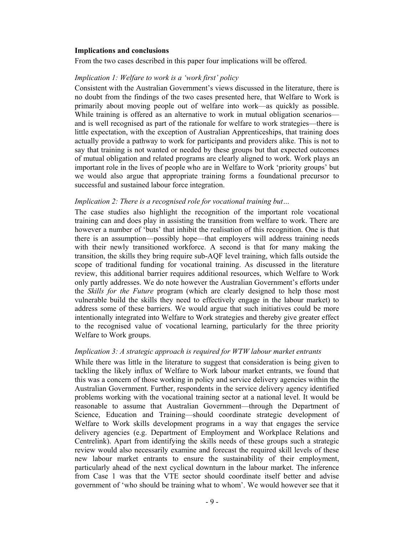#### **Implications and conclusions**

From the two cases described in this paper four implications will be offered.

### *Implication 1: Welfare to work is a 'work first' policy*

Consistent with the Australian Government's views discussed in the literature, there is no doubt from the findings of the two cases presented here, that Welfare to Work is primarily about moving people out of welfare into work—as quickly as possible. While training is offered as an alternative to work in mutual obligation scenarios and is well recognised as part of the rationale for welfare to work strategies—there is little expectation, with the exception of Australian Apprenticeships, that training does actually provide a pathway to work for participants and providers alike. This is not to say that training is not wanted or needed by these groups but that expected outcomes of mutual obligation and related programs are clearly aligned to work. Work plays an important role in the lives of people who are in Welfare to Work 'priority groups' but we would also argue that appropriate training forms a foundational precursor to successful and sustained labour force integration.

#### *Implication 2: There is a recognised role for vocational training but…*

The case studies also highlight the recognition of the important role vocational training can and does play in assisting the transition from welfare to work. There are however a number of 'buts' that inhibit the realisation of this recognition. One is that there is an assumption—possibly hope—that employers will address training needs with their newly transitioned workforce. A second is that for many making the transition, the skills they bring require sub-AQF level training, which falls outside the scope of traditional funding for vocational training. As discussed in the literature review, this additional barrier requires additional resources, which Welfare to Work only partly addresses. We do note however the Australian Government's efforts under the *Skills for the Future* program (which are clearly designed to help those most vulnerable build the skills they need to effectively engage in the labour market) to address some of these barriers. We would argue that such initiatives could be more intentionally integrated into Welfare to Work strategies and thereby give greater effect to the recognised value of vocational learning, particularly for the three priority Welfare to Work groups.

# *Implication 3: A strategic approach is required for WTW labour market entrants*

While there was little in the literature to suggest that consideration is being given to tackling the likely influx of Welfare to Work labour market entrants, we found that this was a concern of those working in policy and service delivery agencies within the Australian Government. Further, respondents in the service delivery agency identified problems working with the vocational training sector at a national level. It would be reasonable to assume that Australian Government—through the Department of Science, Education and Training—should coordinate strategic development of Welfare to Work skills development programs in a way that engages the service delivery agencies (e.g. Department of Employment and Workplace Relations and Centrelink). Apart from identifying the skills needs of these groups such a strategic review would also necessarily examine and forecast the required skill levels of these new labour market entrants to ensure the sustainability of their employment, particularly ahead of the next cyclical downturn in the labour market. The inference from Case 1 was that the VTE sector should coordinate itself better and advise government of 'who should be training what to whom'. We would however see that it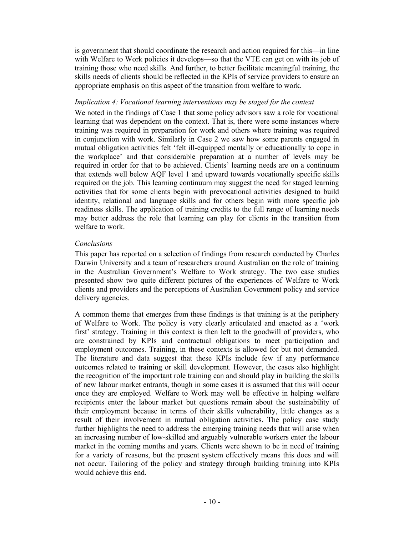is government that should coordinate the research and action required for this—in line with Welfare to Work policies it develops—so that the VTE can get on with its job of training those who need skills. And further, to better facilitate meaningful training, the skills needs of clients should be reflected in the KPIs of service providers to ensure an appropriate emphasis on this aspect of the transition from welfare to work.

# *Implication 4: Vocational learning interventions may be staged for the context*

We noted in the findings of Case 1 that some policy advisors saw a role for vocational learning that was dependent on the context. That is, there were some instances where training was required in preparation for work and others where training was required in conjunction with work. Similarly in Case 2 we saw how some parents engaged in mutual obligation activities felt 'felt ill-equipped mentally or educationally to cope in the workplace' and that considerable preparation at a number of levels may be required in order for that to be achieved. Clients' learning needs are on a continuum that extends well below AQF level 1 and upward towards vocationally specific skills required on the job. This learning continuum may suggest the need for staged learning activities that for some clients begin with prevocational activities designed to build identity, relational and language skills and for others begin with more specific job readiness skills. The application of training credits to the full range of learning needs may better address the role that learning can play for clients in the transition from welfare to work.

## *Conclusions*

This paper has reported on a selection of findings from research conducted by Charles Darwin University and a team of researchers around Australian on the role of training in the Australian Government's Welfare to Work strategy. The two case studies presented show two quite different pictures of the experiences of Welfare to Work clients and providers and the perceptions of Australian Government policy and service delivery agencies.

A common theme that emerges from these findings is that training is at the periphery of Welfare to Work. The policy is very clearly articulated and enacted as a 'work first' strategy. Training in this context is then left to the goodwill of providers, who are constrained by KPIs and contractual obligations to meet participation and employment outcomes. Training, in these contexts is allowed for but not demanded. The literature and data suggest that these KPIs include few if any performance outcomes related to training or skill development. However, the cases also highlight the recognition of the important role training can and should play in building the skills of new labour market entrants, though in some cases it is assumed that this will occur once they are employed. Welfare to Work may well be effective in helping welfare recipients enter the labour market but questions remain about the sustainability of their employment because in terms of their skills vulnerability, little changes as a result of their involvement in mutual obligation activities. The policy case study further highlights the need to address the emerging training needs that will arise when an increasing number of low-skilled and arguably vulnerable workers enter the labour market in the coming months and years. Clients were shown to be in need of training for a variety of reasons, but the present system effectively means this does and will not occur. Tailoring of the policy and strategy through building training into KPIs would achieve this end.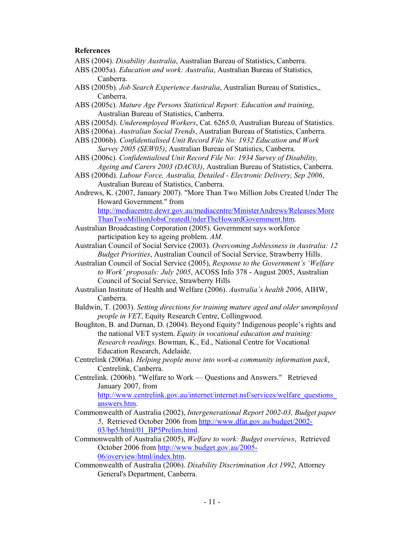### **References**

- ABS (2004). *Disability Australia*, Australian Bureau of Statistics, Canberra.
- ABS (2005a). *Education and work: Australia*, Australian Bureau of Statistics, Canberra.
- ABS (2005b). *Job Search Experience Australia*, Australian Bureau of Statistics,, Canberra.
- ABS (2005c). *Mature Age Persons Statistical Report: Education and training*, Australian Bureau of Statistics, Canberra.
- ABS (2005d). *Underemployed Workers*, Cat. 6265.0, Australian Bureau of Statistics.
- ABS (2006a). *Australian Social Trends*, Australian Bureau of Statistics, Canberra.
- ABS (2006b). *Confidentialised Unit Record File No: 1932 Education and Work Survey 2005 (SEW05)*, Australian Bureau of Statistics, Canberra.
- ABS (2006c). *Confidentialised Unit Record File No: 1934 Survey of Disability, Ageing and Carers 2003 (DAC03)*, Australian Bureau of Statistics, Canberra.
- ABS (2006d). *Labour Force, Australia, Detailed Electronic Delivery, Sep 2006*, Australian Bureau of Statistics, Canberra.

Andrews, K. (2007, January 2007). "More Than Two Million Jobs Created Under The Howard Government." from http://mediacentre.dewr.gov.au/mediacentre/MinisterAndrews/Releases/More

ThanTwoMillionJobsCreatedUnderTheHowardGovernment.htm.

- Australian Broadcasting Corporation (2005). Government says workforce participation key to ageing problem. *AM*.
- Australian Council of Social Service (2003). *Overcoming Joblessness in Australia: 12 Budget Priorities*, Australian Council of Social Service, Strawberry Hills.
- Australian Council of Social Service (2005), *Response to the Government's 'Welfare to Work' proposals: July 2005*, ACOSS Info 378 - August 2005, Australian Council of Social Service, Strawberry Hills
- Australian Institute of Health and Welfare (2006). *Australia's health 2006*, AIHW, Canberra.
- Baldwin, T. (2003). *Setting directions for training mature aged and older unemployed people in VET*, Equity Research Centre, Collingwood.
- Boughton, B. and Durnan, D. (2004). Beyond Equity? Indigenous people's rights and the national VET system. *Equity in vocational education and training: Research readings*. Bowman, K., Ed., National Centre for Vocational Education Research, Adelaide.
- Centrelink (2006a). *Helping people move into work-a community information pack*, Centrelink, Canberra.
- Centrelink. (2006b). "Welfare to Work Questions and Answers." Retrieved January 2007, from http://www.centrelink.gov.au/internet/internet.nsf/services/welfare\_questions

answers.htm.

- Commonwealth of Australia (2002), *Intergenerational Report 2002-03, Budget paper 5*, Retrieved October 2006 from http://www.dfat.gov.au/budget/2002- 03/bp5/html/01\_BP5Prelim.html.
- Commonwealth of Australia (2005), *Welfare to work: Budget overviews*, Retrieved October 2006 from http://www.budget.gov.au/2005- 06/overview/html/index.htm.
- Commonwealth of Australia (2006). *Disability Discrimination Act 1992*, Attorney General's Department, Canberra.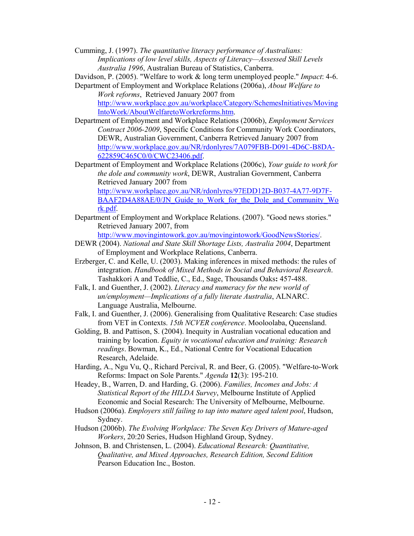Cumming, J. (1997). *The quantitative literacy performance of Australians: Implications of low level skills, Aspects of Literacy—Assessed Skill Levels Australia 1996*, Australian Bureau of Statistics, Canberra.

Davidson, P. (2005). "Welfare to work & long term unemployed people." *Impact*: 4-6.

Department of Employment and Workplace Relations (2006a), *About Welfare to Work reforms*, Retrieved January 2007 from http://www.workplace.gov.au/workplace/Category/SchemesInitiatives/Moving IntoWork/AboutWelfaretoWorkreforms.htm.

- Department of Employment and Workplace Relations (2006b), *Employment Services Contract 2006-2009*, Specific Conditions for Community Work Coordinators, DEWR, Australian Government, Canberra Retrieved January 2007 from http://www.workplace.gov.au/NR/rdonlyres/7A079FBB-D091-4D6C-B8DA-622859C465C0/0/CWC23406.pdf.
- Department of Employment and Workplace Relations (2006c), *Your guide to work for the dole and community work*, DEWR, Australian Government, Canberra Retrieved January 2007 from

http://www.workplace.gov.au/NR/rdonlyres/97EDD12D-B037-4A77-9D7F-BAAF2D4A88AE/0/JN\_Guide\_to\_Work\_for\_the\_Dole\_and\_Community\_Wo rk.pdf.

Department of Employment and Workplace Relations. (2007). "Good news stories." Retrieved January 2007, from

http://www.movingintowork.gov.au/movingintowork/GoodNewsStories/.

- DEWR (2004). *National and State Skill Shortage Lists, Australia 2004*, Department of Employment and Workplace Relations, Canberra.
- Erzberger, C. and Kelle, U. (2003). Making inferences in mixed methods: the rules of integration. *Handbook of Mixed Methods in Social and Behavioral Research*. Tashakkori A and Teddlie, C., Ed., Sage, Thousands Oaks**:** 457-488.
- Falk, I. and Guenther, J. (2002). *Literacy and numeracy for the new world of un/employment—Implications of a fully literate Australia*, ALNARC. Language Australia, Melbourne.
- Falk, I. and Guenther, J. (2006). Generalising from Qualitative Research: Case studies from VET in Contexts. *15th NCVER conference*. Mooloolaba, Queensland.
- Golding, B. and Pattison, S. (2004). Inequity in Australian vocational education and training by location. *Equity in vocational education and training: Research readings*. Bowman, K., Ed., National Centre for Vocational Education Research, Adelaide.
- Harding, A., Ngu Vu, Q., Richard Percival, R. and Beer, G. (2005). "Welfare-to-Work Reforms: Impact on Sole Parents." *Agenda* **12**(3): 195-210.

Headey, B., Warren, D. and Harding, G. (2006). *Families, Incomes and Jobs: A Statistical Report of the HILDA Survey*, Melbourne Institute of Applied Economic and Social Research: The University of Melbourne, Melbourne.

- Hudson (2006a). *Employers still failing to tap into mature aged talent pool*, Hudson, Sydney.
- Hudson (2006b). *The Evolving Workplace: The Seven Key Drivers of Mature-aged Workers*, 20:20 Series, Hudson Highland Group, Sydney.
- Johnson, B. and Christensen, L. (2004). *Educational Research: Quantitative, Qualitative, and Mixed Approaches, Research Edition, Second Edition*  Pearson Education Inc., Boston.